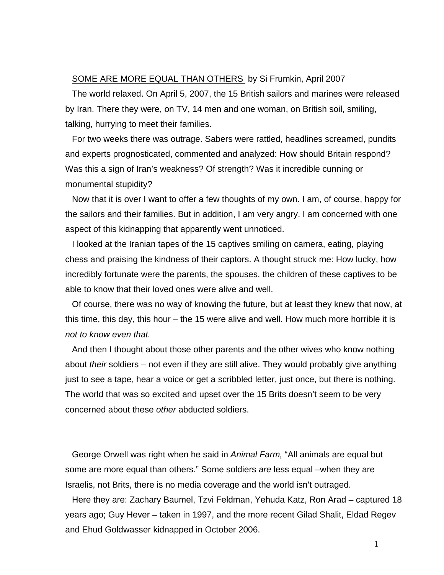## SOME ARE MORE EQUAL THAN OTHERS by Si Frumkin, April 2007

The world relaxed. On April 5, 2007, the 15 British sailors and marines were released by Iran. There they were, on TV, 14 men and one woman, on British soil, smiling, talking, hurrying to meet their families.

For two weeks there was outrage. Sabers were rattled, headlines screamed, pundits and experts prognosticated, commented and analyzed: How should Britain respond? Was this a sign of Iran's weakness? Of strength? Was it incredible cunning or monumental stupidity?

Now that it is over I want to offer a few thoughts of my own. I am, of course, happy for the sailors and their families. But in addition, I am very angry. I am concerned with one aspect of this kidnapping that apparently went unnoticed.

I looked at the Iranian tapes of the 15 captives smiling on camera, eating, playing chess and praising the kindness of their captors. A thought struck me: How lucky, how incredibly fortunate were the parents, the spouses, the children of these captives to be able to know that their loved ones were alive and well.

Of course, there was no way of knowing the future, but at least they knew that now, at this time, this day, this hour – the 15 were alive and well. How much more horrible it is *not to know even that.* 

And then I thought about those other parents and the other wives who know nothing about *their* soldiers – not even if they are still alive. They would probably give anything just to see a tape, hear a voice or get a scribbled letter, just once, but there is nothing. The world that was so excited and upset over the 15 Brits doesn't seem to be very concerned about these *other* abducted soldiers.

George Orwell was right when he said in *Animal Farm,* "All animals are equal but some are more equal than others." Some soldiers *are* less equal –when they are Israelis, not Brits, there is no media coverage and the world isn't outraged.

Here they are: Zachary Baumel, Tzvi Feldman, Yehuda Katz, Ron Arad – captured 18 years ago; Guy Hever – taken in 1997, and the more recent Gilad Shalit, Eldad Regev and Ehud Goldwasser kidnapped in October 2006.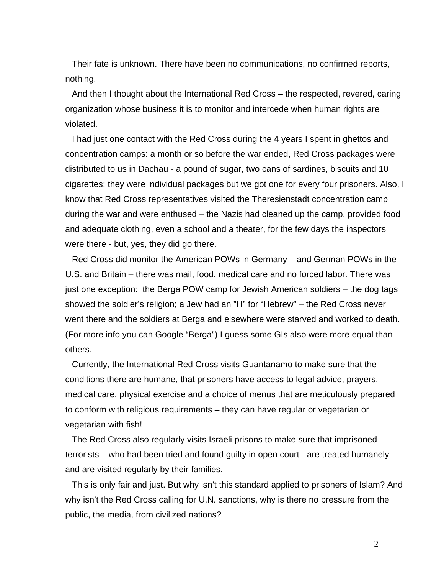Their fate is unknown. There have been no communications, no confirmed reports, nothing.

And then I thought about the International Red Cross – the respected, revered, caring organization whose business it is to monitor and intercede when human rights are violated.

I had just one contact with the Red Cross during the 4 years I spent in ghettos and concentration camps: a month or so before the war ended, Red Cross packages were distributed to us in Dachau - a pound of sugar, two cans of sardines, biscuits and 10 cigarettes; they were individual packages but we got one for every four prisoners. Also, I know that Red Cross representatives visited the Theresienstadt concentration camp during the war and were enthused – the Nazis had cleaned up the camp, provided food and adequate clothing, even a school and a theater, for the few days the inspectors were there - but, yes, they did go there.

Red Cross did monitor the American POWs in Germany – and German POWs in the U.S. and Britain – there was mail, food, medical care and no forced labor. There was just one exception: the Berga POW camp for Jewish American soldiers – the dog tags showed the soldier's religion; a Jew had an "H" for "Hebrew" – the Red Cross never went there and the soldiers at Berga and elsewhere were starved and worked to death. (For more info you can Google "Berga") I guess some GIs also were more equal than others.

Currently, the International Red Cross visits Guantanamo to make sure that the conditions there are humane, that prisoners have access to legal advice, prayers, medical care, physical exercise and a choice of menus that are meticulously prepared to conform with religious requirements – they can have regular or vegetarian or vegetarian with fish!

The Red Cross also regularly visits Israeli prisons to make sure that imprisoned terrorists – who had been tried and found guilty in open court - are treated humanely and are visited regularly by their families.

This is only fair and just. But why isn't this standard applied to prisoners of Islam? And why isn't the Red Cross calling for U.N. sanctions, why is there no pressure from the public, the media, from civilized nations?

2